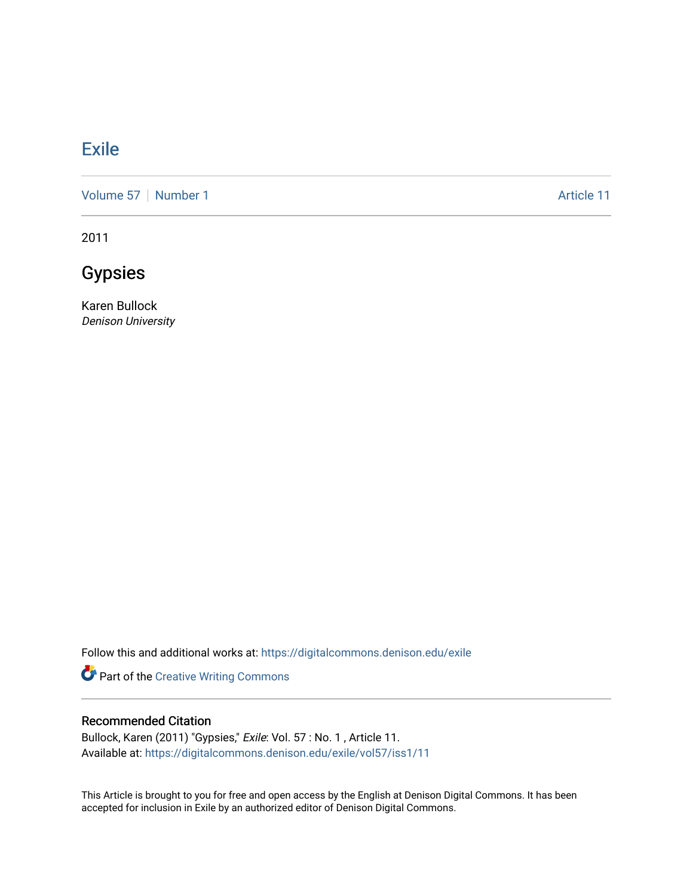### [Exile](https://digitalcommons.denison.edu/exile)

[Volume 57](https://digitalcommons.denison.edu/exile/vol57) | [Number 1](https://digitalcommons.denison.edu/exile/vol57/iss1) Article 11

2011

## Gypsies

Karen Bullock Denison University

Follow this and additional works at: [https://digitalcommons.denison.edu/exile](https://digitalcommons.denison.edu/exile?utm_source=digitalcommons.denison.edu%2Fexile%2Fvol57%2Fiss1%2F11&utm_medium=PDF&utm_campaign=PDFCoverPages) 

Part of the [Creative Writing Commons](http://network.bepress.com/hgg/discipline/574?utm_source=digitalcommons.denison.edu%2Fexile%2Fvol57%2Fiss1%2F11&utm_medium=PDF&utm_campaign=PDFCoverPages) 

#### Recommended Citation

Bullock, Karen (2011) "Gypsies," Exile: Vol. 57 : No. 1 , Article 11. Available at: [https://digitalcommons.denison.edu/exile/vol57/iss1/11](https://digitalcommons.denison.edu/exile/vol57/iss1/11?utm_source=digitalcommons.denison.edu%2Fexile%2Fvol57%2Fiss1%2F11&utm_medium=PDF&utm_campaign=PDFCoverPages)

This Article is brought to you for free and open access by the English at Denison Digital Commons. It has been accepted for inclusion in Exile by an authorized editor of Denison Digital Commons.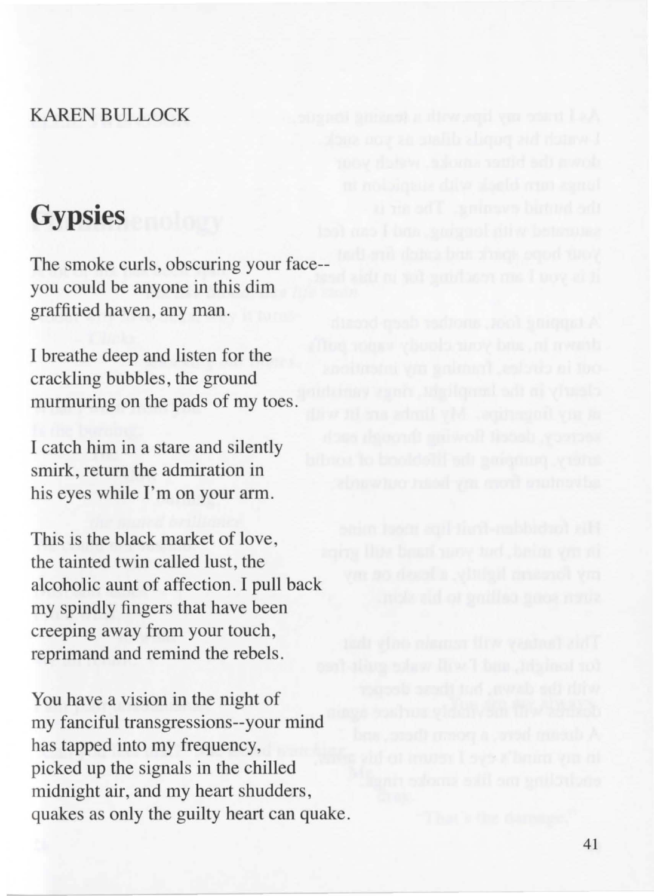#### KAREN BULLOCK

# **Gypsies**

The smoke curls, obscuring your face- you could be anyone in this dim graffitied haven, any man.

I breathe deep and listen for the crackling bubbles, the ground murmuring on the pads of my toes.

I catch him in a stare and silently smirk, return the admiration in his eyes while I'm on your arm.

This is the black market of love, the tainted twin called lust, the alcoholic aunt of affection . I pull back my spindly fingers that have been creeping away from your touch , reprimand and remind the rebels.

You have a vision in the night of my fanciful transgressions--your mind has tapped into my frequency, picked up the signals in the chilled midnjght air, and my heart shudders, quakes as only the guilty heart can quake.